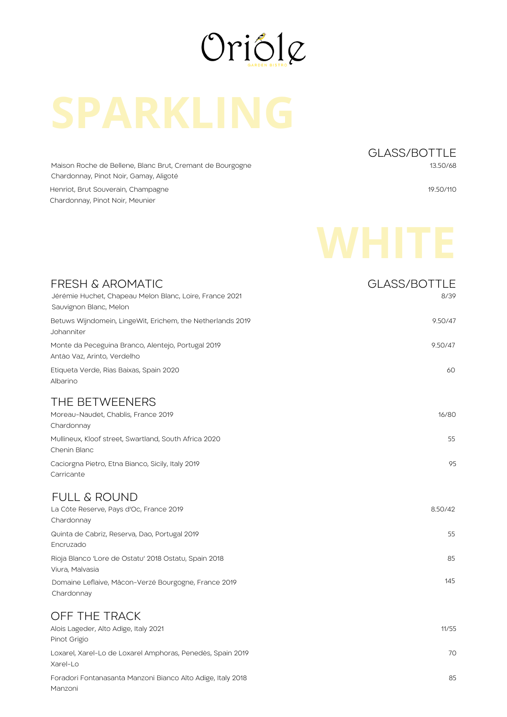

Maison Roche de Bellene, Blanc Brut, Cremant de Bourgogne Chardonnay, Pinot Noir, Gamay, Aligoté

Henriot, Brut Souverain, Champagne Chardonnay, Pinot Noir, Meunier

GLASS/BOTTLE 13.50/68

19.50/110

| <b>FRESH &amp; AROMATIC</b><br>Jérémie Huchet, Chapeau Melon Blanc, Loire, France 2021<br>Sauvignon Blanc, Melon | <b>GLASS/BOTTLE</b><br>8/39 |
|------------------------------------------------------------------------------------------------------------------|-----------------------------|
| Betuws Wijndomein, LingeWit, Erichem, the Netherlands 2019<br>Johanniter                                         | 9.50/47                     |
| Monte da Peceguina Branco, Alentejo, Portugal 2019<br>Antão Vaz, Arinto, Verdelho                                | 9.50/47                     |
| Etiqueta Verde, Rias Baixas, Spain 2020<br>Albarino                                                              | 60                          |
| THE BETWEENERS<br>Moreau-Naudet, Chablis, France 2019<br>Chardonnay                                              | 16/80                       |
| Mullineux, Kloof street, Swartland, South Africa 2020<br>Chenin Blanc                                            | 55                          |
| Caciorgna Pietro, Etna Bianco, Sicily, Italy 2019<br>Carricante                                                  | 95                          |
| <b>FULL &amp; ROUND</b>                                                                                          |                             |
| La Côte Reserve, Pays d'Oc, France 2019<br>Chardonnay                                                            | 8.50/42                     |
| Quinta de Cabriz, Reserva, Dao, Portugal 2019<br>Encruzado                                                       | 55                          |
| Rioja Blanco 'Lore de Ostatu' 2018 Ostatu, Spain 2018<br>Viura, Malvasia                                         | 85                          |
| Domaine Leflaive, Mâcon-Verzé Bourgogne, France 2019<br>Chardonnay                                               | 145                         |
| OFF THE TRACK                                                                                                    |                             |
| Alois Lageder, Alto Adige, Italy 2021<br>Pinot Grigio                                                            | 11/55                       |
| Loxarel, Xarel-Lo de Loxarel Amphoras, Penedès, Spain 2019<br>Xarel-Lo                                           | 70                          |
| Foradori Fontanasanta Manzoni Bianco Alto Adige, Italy 2018                                                      | 85                          |

Manzoni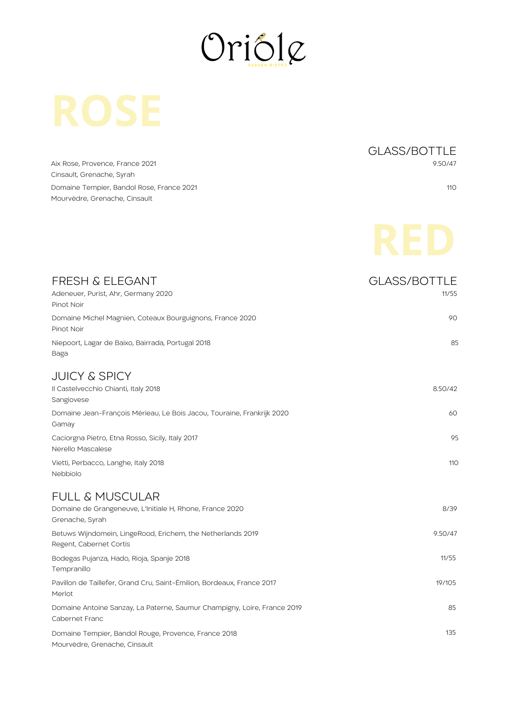

Aix Rose, Provence, France 2021 Cinsault, Grenache, Syrah Domaine Tempier, Bandol Rose, France 2021 Mourvèdre, Grenache, Cinsault

GLASS/BOTTLE 9.50/47

110

| FRESH & ELEGANT<br>Adeneuer, Purist, Ahr, Germany 2020<br>Pinot Noir                       | <b>GLASS/BOTTLE</b><br>11/55 |
|--------------------------------------------------------------------------------------------|------------------------------|
| Domaine Michel Magnien, Coteaux Bourguignons, France 2020<br>Pinot Noir                    | 90                           |
| Niepoort, Lagar de Baixo, Bairrada, Portugal 2018<br>Baga                                  | 85                           |
| <b>JUICY &amp; SPICY</b><br>Il Castelvecchio Chianti, Italy 2018<br>Sangiovese             | 8.50/42                      |
| Domaine Jean-François Mérieau, Le Bois Jacou, Touraine, Frankrijk 2020<br>Gamay            | 60                           |
| Caciorgna Pietro, Etna Rosso, Sicily, Italy 2017<br>Nerello Mascalese                      | 95                           |
| Vietti, Perbacco, Langhe, Italy 2018<br>Nebbiolo                                           | 110                          |
| <b>FULL &amp; MUSCULAR</b>                                                                 |                              |
| Domaine de Grangeneuve, L'Initiale H, Rhone, France 2020<br>Grenache, Syrah                | 8/39                         |
| Betuws Wijndomein, LingeRood, Erichem, the Netherlands 2019<br>Regent, Cabernet Cortis     | 9.50/47                      |
| Bodegas Pujanza, Hado, Rioja, Spanje 2018<br>Tempranillo                                   | 11/55                        |
| Pavillon de Taillefer, Grand Cru, Saint-Émilion, Bordeaux, France 2017<br>Merlot           | 19/105                       |
| Domaine Antoine Sanzay, La Paterne, Saumur Champigny, Loire, France 2019<br>Cabernet Franc | 85                           |
| Domaine Tempier, Bandol Rouge, Provence, France 2018<br>Mourvèdre, Grenache, Cinsault      | 135                          |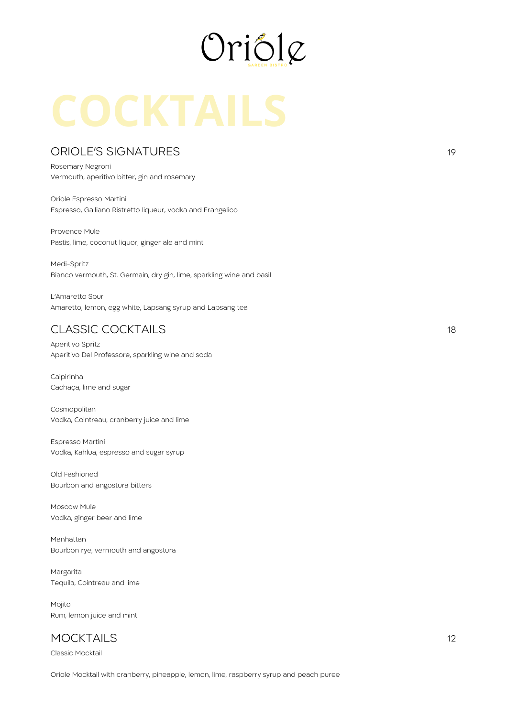

### ORIOLE'S SIGNATURES 19

Rosemary Negroni Vermouth, aperitivo bitter, gin and rosemary

Oriole Espresso Martini Espresso, Galliano Ristretto liqueur, vodka and Frangelico

Provence Mule Pastis, lime, coconut liquor, ginger ale and mint

Medi-Spritz Bianco vermouth, St. Germain, dry gin, lime, sparkling wine and basil

L'Amaretto Sour Amaretto, lemon, egg white, Lapsang syrup and Lapsang tea

# CLASSIC COCKTAILS 18

Aperitivo Spritz Aperitivo Del Professore, sparkling wine and soda

Caipirinha Cachaça, lime and sugar

Cosmopolitan Vodka, Cointreau, cranberry juice and lime

Espresso Martini Vodka, Kahlua, espresso and sugar syrup

Old Fashioned Bourbon and angostura bitters

Moscow Mule Vodka, ginger beer and lime

Manhattan Bourbon rye, vermouth and angostura

Margarita Tequila, Cointreau and lime

Mojito Rum, lemon juice and mint

# MOCKTAILS 12

Classic Mocktail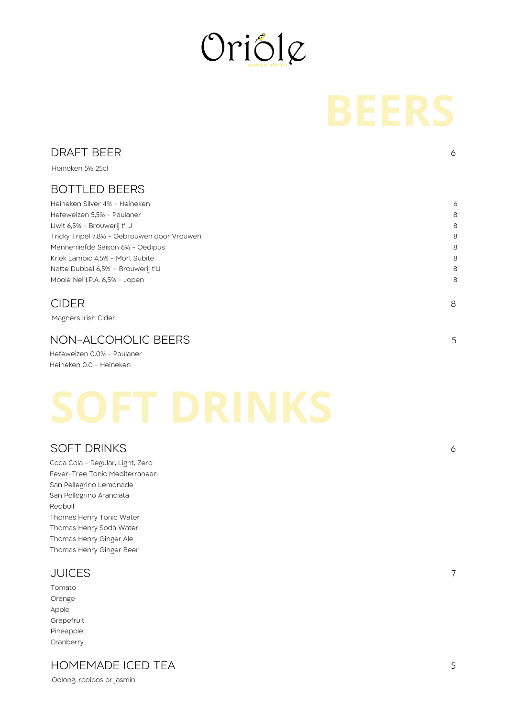

| <b>DRAFT BEER</b>                           | 6 |
|---------------------------------------------|---|
| Heineken 5% 25cl                            |   |
| <b>BOTTLED BEERS</b>                        |   |
| Heineken Silver 4% - Heineken               | 6 |
| Hefeweizen 5,5% - Paulaner                  | 8 |
| IJwit 6,5% - Brouwerij t' IJ                | 8 |
| Tricky Tripel 7,8% - Gebrouwen door Vrouwen | 8 |
| Mannenliefde Saison 6% - Oedipus            | 8 |
| Kriek Lambic 4,5% - Mort Subite             | 8 |
| Natte Dubbel 6,5% - Brouwerij t'IJ          | 8 |
| Mooie Nel I.P.A. 6,5% - Jopen               | 8 |
| CIDER                                       | 8 |
|                                             |   |

Magners Irish Cider

### NON-ALCOHOLIC BEERS

Hefeweizen 0,0% - Paulaner Heineken 0.0 - Heineken

### SOFT DRINKS

Coca Cola - Regular, Light, Zero Fever-Tree Tonic Mediterranean San Pellegrino Lemonade San Pellegrino Aranciata Redbull Thomas Henry Tonic Water Thomas Henry Soda Water Thomas Henry Ginger Ale Thomas Henry Ginger Beer

### JUICES

Tomato Orange Apple Grapefruit Pineapple Cranberry

## HOMEMADE ICED TEA

Oolong, rooibos or jasmin

7

5

6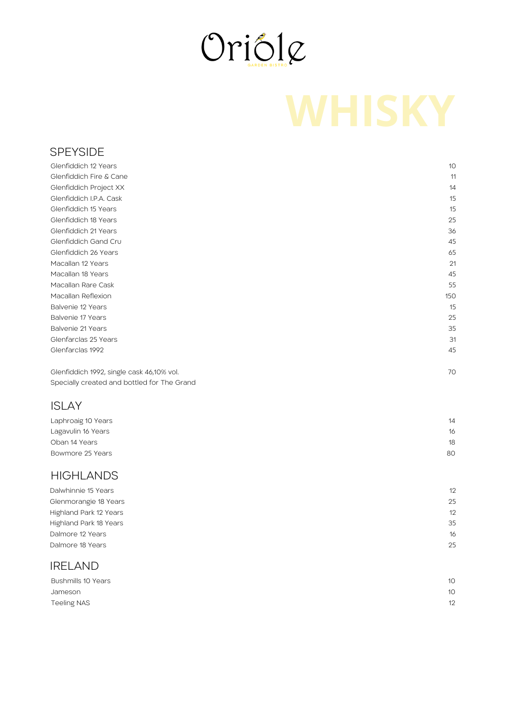

### SPEYSIDE

| Glenfiddich 12 Years                        | 10  |
|---------------------------------------------|-----|
| Glenfiddich Fire & Cane                     | 11  |
| Glenfiddich Project XX                      | 14  |
| Glenfiddich I.P.A. Cask                     | 15  |
| Glenfiddich 15 Years                        | 15  |
| Glenfiddich 18 Years                        | 25  |
| Glenfiddich 21 Years                        | 36  |
| Glenfiddich Gand Cru                        | 45  |
| Glenfiddich 26 Years                        | 65  |
| Macallan 12 Years                           | 21  |
| Macallan 18 Years                           | 45  |
| Macallan Rare Cask                          | 55  |
| Macallan Reflexion                          | 150 |
| Balvenie 12 Years                           | 15  |
| Balvenie 17 Years                           | 25  |
| Balvenie 21 Years                           | 35  |
| Glenfarclas 25 Years                        | 31  |
| Glenfarclas 1992                            | 45  |
| Glenfiddich 1992, single cask 46,10% vol.   | 70  |
| Specially created and bottled for The Grand |     |
|                                             |     |

# ISLAY

| Laphroaig 10 Years | 14 |
|--------------------|----|
| Lagavulin 16 Years | 16 |
| Oban 14 Years      | 18 |
| Bowmore 25 Years   | 80 |

### **HIGHLANDS**

| Dalwhinnie 15 Years    | 12 |
|------------------------|----|
| Glenmorangie 18 Years  | 25 |
| Highland Park 12 Years | 12 |
| Highland Park 18 Years | 35 |
| Dalmore 12 Years       | 16 |
| Dalmore 18 Years       | 25 |
|                        |    |

### IRELAND

| Bushmills 10 Years | 10 <sup>°</sup> |
|--------------------|-----------------|
| Jameson            | 10              |
| Teeling NAS        | 12              |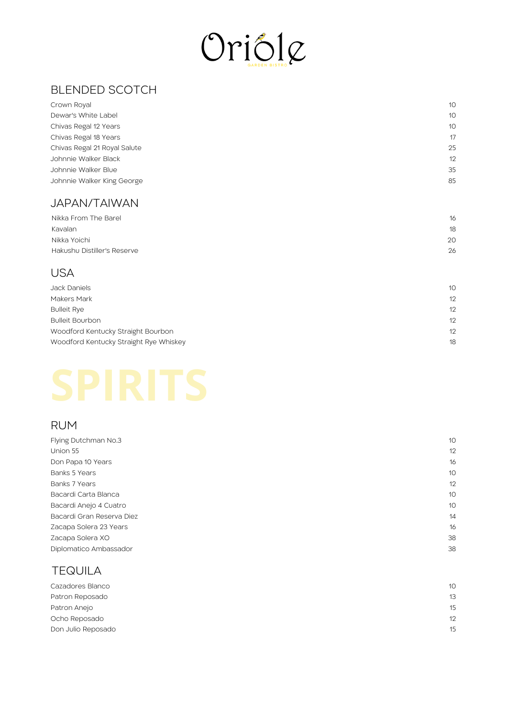

| <b>BLENDED SCOTCH</b>                  |    |
|----------------------------------------|----|
| Crown Royal                            | 10 |
| Dewar's White Label                    | 10 |
| Chivas Regal 12 Years                  | 10 |
| Chivas Regal 18 Years                  | 17 |
| Chivas Regal 21 Royal Salute           | 25 |
| Johnnie Walker Black                   | 12 |
| Johnnie Walker Blue                    | 35 |
| Johnnie Walker King George             | 85 |
| <b>JAPAN/TAIWAN</b>                    |    |
| Nikka From The Barel                   | 16 |
| Kavalan                                | 18 |
| Nikka Yoichi                           | 20 |
| Hakushu Distiller's Reserve            | 26 |
| <b>USA</b>                             |    |
| Jack Daniels                           | 10 |
| Makers Mark                            | 12 |
| <b>Bulleit Rye</b>                     | 12 |
| <b>Bulleit Bourbon</b>                 | 12 |
| Woodford Kentucky Straight Bourbon     | 12 |
| Woodford Kentucky Straight Rye Whiskey | 18 |
|                                        |    |
|                                        |    |

### JAPAN/TAIWAN

| Nikka From The Barel        | 16 |
|-----------------------------|----|
| Kavalan                     | 18 |
| Nikka Yoichi                | 20 |
| Hakushu Distiller's Reserve | 26 |
|                             |    |

# U S A

| Jack Daniels                           | 10 |
|----------------------------------------|----|
| Makers Mark                            | 12 |
| <b>Bulleit Rye</b>                     | 12 |
| <b>Bulleit Bourbon</b>                 | 12 |
| Woodford Kentucky Straight Bourbon     | 12 |
| Woodford Kentucky Straight Rye Whiskey | 18 |
|                                        |    |

# R U M

| Flying Dutchman No.3      | 10 |
|---------------------------|----|
| Union 55                  | 12 |
| Don Papa 10 Years         | 16 |
| Banks 5 Years             | 10 |
| Banks 7 Years             | 12 |
| Bacardi Carta Blanca      | 10 |
| Bacardi Anejo 4 Cuatro    | 10 |
| Bacardi Gran Reserva Diez | 14 |
| Zacapa Solera 23 Years    | 16 |
| Zacapa Solera XO          | 38 |
| Diplomatico Ambassador    | 38 |
|                           |    |

## T E Q UIL A

| Cazadores Blanco   | 10 |
|--------------------|----|
| Patron Reposado    | 13 |
| Patron Anejo       | 15 |
| Ocho Reposado      | 12 |
| Don Julio Reposado | 15 |
|                    |    |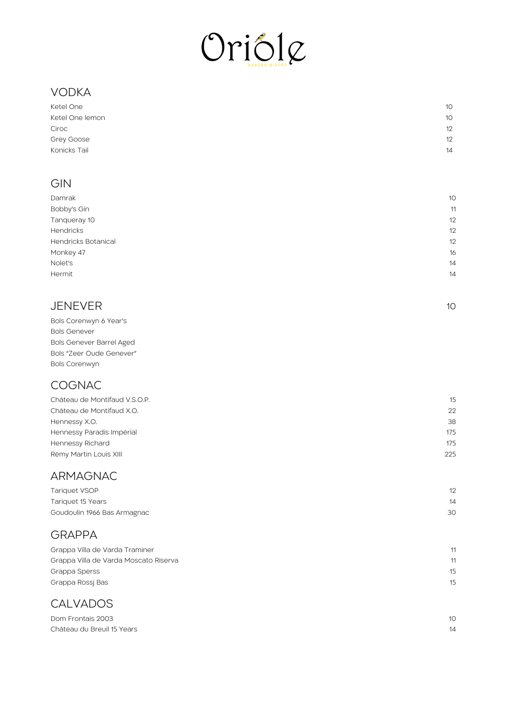

# V O D K A

| Ketel One       | 10 |
|-----------------|----|
| Ketel One lemon | 10 |
| Ciroc           | 12 |
| Grey Goose      | 12 |
| Konicks Tail    | 14 |
|                 |    |

## **GIN**

| 10<br>11<br>12<br>12<br>12<br>16<br>14 |                            |    |
|----------------------------------------|----------------------------|----|
|                                        | Damrak                     |    |
|                                        | Bobby's Gin                |    |
|                                        | Tanqueray 10               |    |
|                                        | <b>Hendricks</b>           |    |
|                                        | <b>Hendricks Botanical</b> |    |
|                                        | Monkey 47                  |    |
|                                        | Nolet's                    |    |
|                                        | Hermit                     | 14 |

1 0

### **JENEVER**

| Bols Corenwyn 6 Year's          |
|---------------------------------|
| <b>Bols Genever</b>             |
| <b>Bols Genever Barrel Aged</b> |
| Bols "Zeer Oude Genever"        |
| <b>Bols Corenwyn</b>            |

# **COGNAC**

| Château de Montifaud V.S.O.P. | 15  |
|-------------------------------|-----|
| Château de Montifaud X.O.     | 22  |
| Hennessy X.O.                 | 38  |
| Hennessy Paradis Impérial     | 175 |
| Hennessy Richard              | 175 |
| Rémy Martin Louis XIII        | 225 |
|                               |     |

## ARMAGNAC

| Tariquet VSOP               | 12 |
|-----------------------------|----|
| Tariquet 15 Years           | 14 |
| Goudoulin 1966 Bas Armagnac | 30 |

## **GRAPPA**

| Grappa Villa de Varda Traminer        | 11 |
|---------------------------------------|----|
| Grappa Villa de Varda Moscato Riserva | 11 |
| Grappa Sperss                         | 15 |
| Grappa Rossi Bas                      | 15 |
|                                       |    |

# **CALVADOS**

| Dom Frontais 2003          | 10 <sup>2</sup> |
|----------------------------|-----------------|
| Château du Breuil 15 Years | 14              |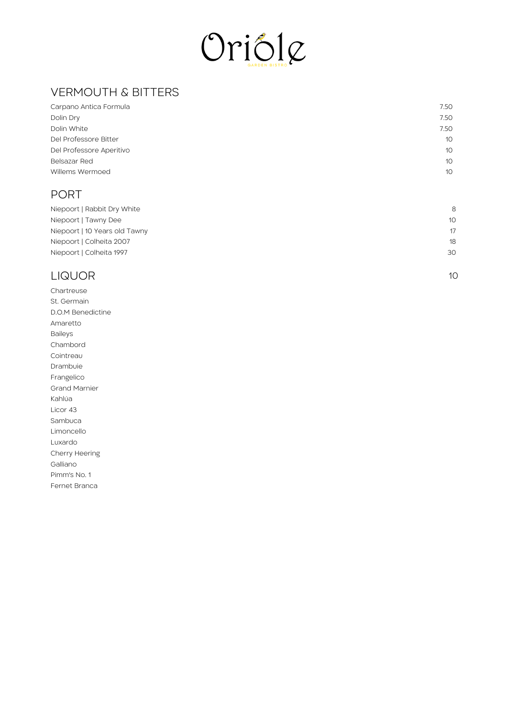

# VERMOUTH & BITTERS

| Carpano Antica Formula   | 7.50            |
|--------------------------|-----------------|
| Dolin Dry                | 7.50            |
| Dolin White              | 7.50            |
| Del Professore Bitter    | 10 <sup>°</sup> |
| Del Professore Aperitivo | 10 <sup>°</sup> |
| Belsazar Red             | 10 <sup>°</sup> |
| Willems Wermoed          | 10 <sup>°</sup> |
|                          |                 |

### PORT

| Niepoort   Rabbit Dry White   | 8               |
|-------------------------------|-----------------|
| Niepoort   Tawny Dee          | 10 <sup>°</sup> |
| Niepoort   10 Years old Tawny | 17              |
| Niepoort   Colheita 2007      | 18              |
| Niepoort   Colheita 1997      | 30              |

1 0

## LIQUOR

Chartreuse St. Germain D.O.M Benedictine Amaretto B aile y s C h a m b o r d Cointreau Drambuie Frangelico Grand Marnier K a hlú a Licor 43 S a m b u c a Limoncello Luxardo Cherry Heering G allia n o Pim m's N o. 1 Fernet Branca